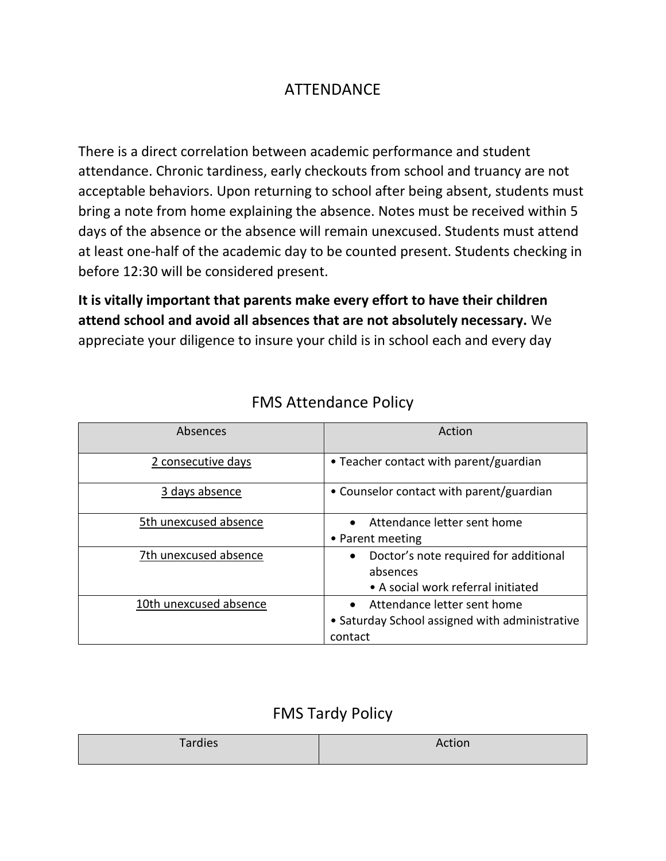## ATTENDANCE

There is a direct correlation between academic performance and student attendance. Chronic tardiness, early checkouts from school and truancy are not acceptable behaviors. Upon returning to school after being absent, students must bring a note from home explaining the absence. Notes must be received within 5 days of the absence or the absence will remain unexcused. Students must attend at least one-half of the academic day to be counted present. Students checking in before 12:30 will be considered present.

**It is vitally important that parents make every effort to have their children attend school and avoid all absences that are not absolutely necessary.** We appreciate your diligence to insure your child is in school each and every day

| Absences               | Action                                                                                                |
|------------------------|-------------------------------------------------------------------------------------------------------|
| 2 consecutive days     | • Teacher contact with parent/guardian                                                                |
| 3 days absence         | • Counselor contact with parent/guardian                                                              |
| 5th unexcused absence  | Attendance letter sent home<br>• Parent meeting                                                       |
| 7th unexcused absence  | Doctor's note required for additional<br>$\bullet$<br>absences<br>• A social work referral initiated  |
| 10th unexcused absence | Attendance letter sent home<br>$\bullet$<br>• Saturday School assigned with administrative<br>contact |

## FMS Attendance Policy

## FMS Tardy Policy

| Tardies | <b>Action</b><br>.IUI 1 |
|---------|-------------------------|
|         |                         |